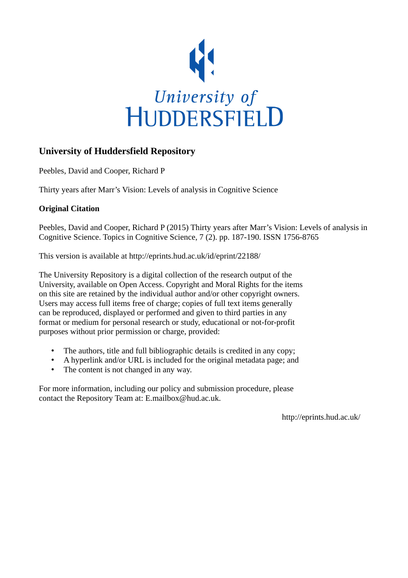

# **University of Huddersfield Repository**

Peebles, David and Cooper, Richard P

Thirty years after Marr's Vision: Levels of analysis in Cognitive Science

### **Original Citation**

Peebles, David and Cooper, Richard P (2015) Thirty years after Marr's Vision: Levels of analysis in Cognitive Science. Topics in Cognitive Science, 7 (2). pp. 187-190. ISSN 1756-8765

This version is available at http://eprints.hud.ac.uk/id/eprint/22188/

The University Repository is a digital collection of the research output of the University, available on Open Access. Copyright and Moral Rights for the items on this site are retained by the individual author and/or other copyright owners. Users may access full items free of charge; copies of full text items generally can be reproduced, displayed or performed and given to third parties in any format or medium for personal research or study, educational or not-for-profit purposes without prior permission or charge, provided:

- The authors, title and full bibliographic details is credited in any copy;
- A hyperlink and/or URL is included for the original metadata page; and
- The content is not changed in any way.

For more information, including our policy and submission procedure, please contact the Repository Team at: E.mailbox@hud.ac.uk.

http://eprints.hud.ac.uk/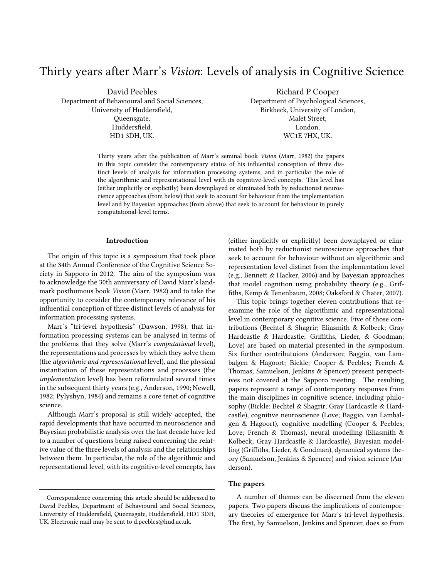# Thirty years after Marr's Vision: Levels of analysis in Cognitive Science

David Peebles Department of Behavioural and Social Sciences, University of Huddersfield, Queensgate, Huddersfield, HD1 3DH, UK.

Richard P Cooper Department of Psychological Sciences, Birkbeck, University of London, Malet Street, London, WC1E 7HX, UK.

Thirty years after the publication of Marr's seminal book Vision (Marr, 1982) the papers in this topic consider the contemporary status of his influential conception of three distinct levels of analysis for information processing systems, and in particular the role of the algorithmic and representational level with its cognitive-level concepts. This level has (either implicitly or explicitly) been downplayed or eliminated both by reductionist neuroscience approaches (from below) that seek to account for behaviour from the implementation level and by Bayesian approaches (from above) that seek to account for behaviour in purely computational-level terms.

#### Introduction

The origin of this topic is a symposium that took place at the 34th Annual Conference of the Cognitive Science Society in Sapporo in 2012. The aim of the symposium was to acknowledge the 30th anniversary of David Marr's landmark posthumous book Vision (Marr, 1982) and to take the opportunity to consider the contemporary relevance of his influential conception of three distinct levels of analysis for information processing systems.

Marr's "tri-level hypothesis" (Dawson, 1998), that information processing systems can be analysed in terms of the problems that they solve (Marr's computational level), the representations and processes by which they solve them (the algorithmic and representational level), and the physical instantiation of these representations and processes (the implementation level) has been reformulated several times in the subsequent thirty years (e.g., Anderson, 1990; Newell, 1982; Pylyshyn, 1984) and remains a core tenet of cognitive science.

Although Marr's proposal is still widely accepted, the rapid developments that have occurred in neuroscience and Bayesian probabilistic analysis over the last decade have led to a number of questions being raised concerning the relative value of the three levels of analysis and the relationships between them. In particular, the role of the algorithmic and representational level, with its cognitive-level concepts, has (either implicitly or explicitly) been downplayed or eliminated both by reductionist neuroscience approaches that seek to account for behaviour without an algorithmic and representation level distinct from the implementation level (e.g., Bennett & Hacker, 2006) and by Bayesian approaches that model cognition using probability theory (e.g., Griffiths, Kemp & Tenenbaum, 2008; Oaksford & Chater, 2007).

This topic brings together eleven contributions that reexamine the role of the algorithmic and representational level in contemporary cognitive science. Five of those contributions (Bechtel & Shagrir; Eliasmith & Kolbeck; Gray Hardcastle & Hardcastle; Griffiths, Lieder, & Goodman; Love) are based on material presented in the symposium. Six further contributuions (Anderson; Baggio, van Lambalgen & Hagoort; Bickle; Cooper & Peebles; French & Thomas; Samuelson, Jenkins & Spencer) present perspectives not covered at the Sapporo meeting. The resulting papers represent a range of contemporary responses from the main disciplines in cognitive science, including philosophy (Bickle; Bechtel & Shagrir; Gray Hardcastle & Hardcastle), cognitive neuroscience (Love; Baggio, van Lambalgen & Hagoort), cognitive modelling (Cooper & Peebles; Love; French & Thomas), neural modelling (Eliasmith & Kolbeck; Gray Hardcastle & Hardcastle), Bayesian modelling (Griffiths, Lieder, & Goodman), dynamical systems theory (Samuelson, Jenkins & Spencer) and vision science (Anderson).

### The papers

A number of themes can be discerned from the eleven papers. Two papers discuss the implications of contemporary theories of emergence for Marr's tri-level hypothesis. The first, by Samuelson, Jenkins and Spencer, does so from

Correspondence concerning this article should be addressed to David Peebles, Department of Behavioural and Social Sciences, University of Huddersfield, Queensgate, Huddersfield, HD1 3DH, UK. Electronic mail may be sent to d.peebles@hud.ac.uk.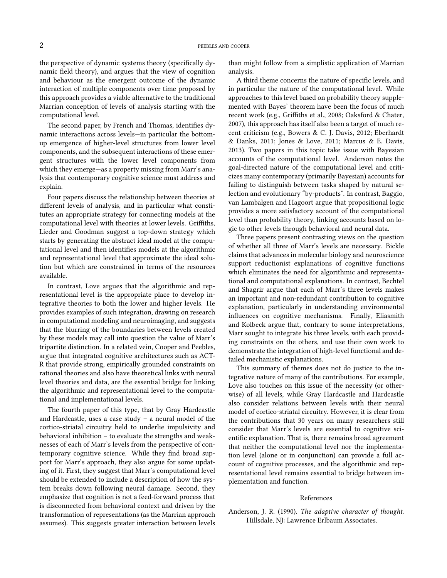the perspective of dynamic systems theory (specifically dynamic field theory), and argues that the view of cognition and behaviour as the emergent outcome of the dynamic interaction of multiple components over time proposed by this approach provides a viable alternative to the traditional Marrian conception of levels of analysis starting with the computational level.

The second paper, by French and Thomas, identifies dynamic interactions across levels—in particular the bottomup emergence of higher-level structures from lower level components, and the subsequent interactions of these emergent structures with the lower level components from which they emerge—as a property missing from Marr's analysis that contemporary cognitive science must address and explain.

Four papers discuss the relationship between theories at different levels of analysis, and in particular what constitutes an appropriate strategy for connecting models at the computational level with theories at lower levels. Griffiths, Lieder and Goodman suggest a top-down strategy which starts by generating the abstract ideal model at the computational level and then identifies models at the algorithmic and representational level that approximate the ideal solution but which are constrained in terms of the resources available.

In contrast, Love argues that the algorithmic and representational level is the appropriate place to develop integrative theories to both the lower and higher levels. He provides examples of such integration, drawing on research in computational modeling and neuroimaging, and suggests that the blurring of the boundaries between levels created by these models may call into question the value of Marr's tripartite distinction. In a related vein, Cooper and Peebles, argue that integrated cognitive architectures such as ACT-R that provide strong, empirically grounded constraints on rational theories and also have theoretical links with neural level theories and data, are the essential bridge for linking the algorithmic and representational level to the computational and implementational levels.

The fourth paper of this type, that by Gray Hardcastle and Hardcastle, uses a case study – a neural model of the cortico-striatal circuitry held to underlie impulsivity and behavioral inhibition – to evaluate the strengths and weaknesses of each of Marr's levels from the perspective of contemporary cognitive science. While they find broad support for Marr's approach, they also argue for some updating of it. First, they suggest that Marr's computational level should be extended to include a description of how the system breaks down following neural damage. Second, they emphasize that cognition is not a feed-forward process that is disconnected from behavioral context and driven by the transformation of representations (as the Marrian approach assumes). This suggests greater interaction between levels

than might follow from a simplistic application of Marrian analysis.

A third theme concerns the nature of specific levels, and in particular the nature of the computational level. While approaches to this level based on probability theory supplemented with Bayes' theorem have been the focus of much recent work (e.g., Griffiths et al., 2008; Oaksford & Chater, 2007), this approach has itself also been a target of much recent criticism (e.g., Bowers & C. J. Davis, 2012; Eberhardt & Danks, 2011; Jones & Love, 2011; Marcus & E. Davis, 2013). Two papers in this topic take issue with Bayesian accounts of the computational level. Anderson notes the goal-directed nature of the computational level and criticizes many contemporary (primarily Bayesian) accounts for failing to distinguish between tasks shaped by natural selection and evolutionary "by-products". In contrast, Baggio, van Lambalgen and Hagoort argue that propositional logic provides a more satisfactory account of the computational level than probability theory, linking accounts based on logic to other levels through behavioral and neural data.

Three papers present contrasting views on the question of whether all three of Marr's levels are necessary. Bickle claims that advances in molecular biology and neuroscience support reductionist explanations of cognitive functions which eliminates the need for algorithmic and representational and computational explanations. In contrast, Bechtel and Shagrir argue that each of Marr's three levels makes an important and non-redundant contribution to cognitive explanation, particularly in understanding environmental influences on cognitive mechanisms. Finally, Eliasmith and Kolbeck argue that, contrary to some interpretations, Marr sought to integrate his three levels, with each providing constraints on the others, and use their own work to demonstrate the integration of high-level functional and detailed mechanistic explanations.

This summary of themes does not do justice to the integrative nature of many of the contributions. For example, Love also touches on this issue of the necessity (or otherwise) of all levels, while Gray Hardcastle and Hardcastle also consider relations between levels with their neural model of cortico-striatal circuitry. However, it is clear from the contributions that 30 years on many researchers still consider that Marr's levels are essential to cognitive scientific explanation. That is, there remains broad agreement that neither the computational level nor the implementation level (alone or in conjunction) can provide a full account of cognitive processes, and the algorithmic and representational level remains essential to bridge between implementation and function.

#### References

Anderson, J. R. (1990). The adaptive character of thought. Hillsdale, NJ: Lawrence Erlbaum Associates.